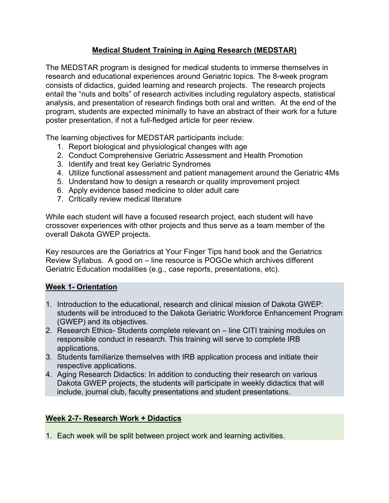## **Medical Student Training in Aging Research (MEDSTAR)**

The MEDSTAR program is designed for medical students to immerse themselves in research and educational experiences around Geriatric topics. The 8-week program consists of didactics, guided learning and research projects. The research projects entail the "nuts and bolts" of research activities including regulatory aspects, statistical analysis, and presentation of research findings both oral and written. At the end of the program, students are expected minimally to have an abstract of their work for a future poster presentation, if not a full-fledged article for peer review.

The learning objectives for MEDSTAR participants include:

- 1. Report biological and physiological changes with age
- 2. Conduct Comprehensive Geriatric Assessment and Health Promotion
- 3. Identify and treat key Geriatric Syndromes
- 4. Utilize functional assessment and patient management around the Geriatric 4Ms
- 5. Understand how to design a research or quality improvement project
- 6. Apply evidence based medicine to older adult care
- 7. Critically review medical literature

While each student will have a focused research project, each student will have crossover experiences with other projects and thus serve as a team member of the overall Dakota GWEP projects.

Key resources are the Geriatrics at Your Finger Tips hand book and the Geriatrics Review Syllabus. A good on – line resource is POGOe which archives different Geriatric Education modalities (e.g., case reports, presentations, etc).

#### **Week 1- Orientation**

- 1. Introduction to the educational, research and clinical mission of Dakota GWEP: students will be introduced to the Dakota Geriatric Workforce Enhancement Program (GWEP) and its objectives.
- 2. Research Ethics- Students complete relevant on line CITI training modules on responsible conduct in research. This training will serve to complete IRB applications.
- 3. Students familiarize themselves with IRB application process and initiate their respective applications.
- 4. Aging Research Didactics: In addition to conducting their research on various Dakota GWEP projects, the students will participate in weekly didactics that will include, journal club, faculty presentations and student presentations.

### **Week 2-7- Research Work + Didactics**

1. Each week will be split between project work and learning activities.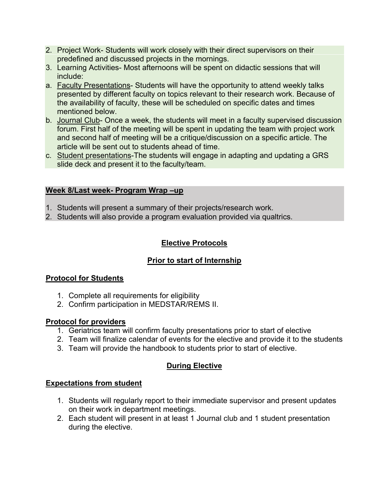- 2. Project Work- Students will work closely with their direct supervisors on their predefined and discussed projects in the mornings.
- 3. Learning Activities- Most afternoons will be spent on didactic sessions that will include:
- a. Faculty Presentations- Students will have the opportunity to attend weekly talks presented by different faculty on topics relevant to their research work. Because of the availability of faculty, these will be scheduled on specific dates and times mentioned below.
- b. Journal Club- Once a week, the students will meet in a faculty supervised discussion forum. First half of the meeting will be spent in updating the team with project work and second half of meeting will be a critique/discussion on a specific article. The article will be sent out to students ahead of time.
- c. Student presentations-The students will engage in adapting and updating a GRS slide deck and present it to the faculty/team.

### **Week 8/Last week- Program Wrap –up**

- 1. Students will present a summary of their projects/research work.
- 2. Students will also provide a program evaluation provided via qualtrics.

## **Elective Protocols**

# **Prior to start of Internship**

## **Protocol for Students**

- 1. Complete all requirements for eligibility
- 2. Confirm participation in MEDSTAR/REMS II.

## **Protocol for providers**

- 1. Geriatrics team will confirm faculty presentations prior to start of elective
- 2. Team will finalize calendar of events for the elective and provide it to the students
- 3. Team will provide the handbook to students prior to start of elective.

# **During Elective**

## **Expectations from student**

- 1. Students will regularly report to their immediate supervisor and present updates on their work in department meetings.
- 2. Each student will present in at least 1 Journal club and 1 student presentation during the elective.